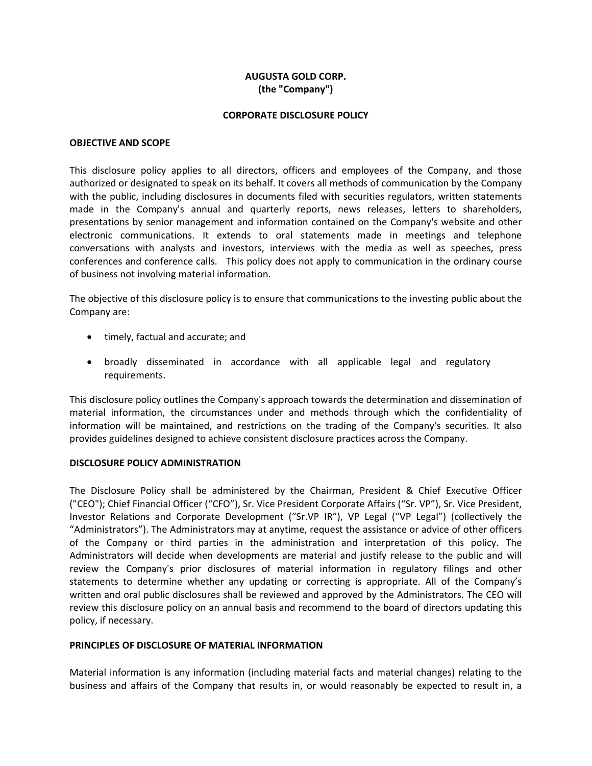# **AUGUSTA GOLD CORP. (the "Company")**

#### **CORPORATE DISCLOSURE POLICY**

#### **OBJECTIVE AND SCOPE**

This disclosure policy applies to all directors, officers and employees of the Company, and those authorized or designated to speak on its behalf. It covers all methods of communication by the Company with the public, including disclosures in documents filed with securities regulators, written statements made in the Company's annual and quarterly reports, news releases, letters to shareholders, presentations by senior management and information contained on the Company's website and other electronic communications. It extends to oral statements made in meetings and telephone conversations with analysts and investors, interviews with the media as well as speeches, press conferences and conference calls. This policy does not apply to communication in the ordinary course of business not involving material information.

The objective of this disclosure policy is to ensure that communications to the investing public about the Company are:

- timely, factual and accurate; and
- broadly disseminated in accordance with all applicable legal and regulatory requirements.

This disclosure policy outlines the Company's approach towards the determination and dissemination of material information, the circumstances under and methods through which the confidentiality of information will be maintained, and restrictions on the trading of the Company's securities. It also provides guidelines designed to achieve consistent disclosure practices across the Company.

### **DISCLOSURE POLICY ADMINISTRATION**

The Disclosure Policy shall be administered by the Chairman, President & Chief Executive Officer ("CEO"); Chief Financial Officer ("CFO"), Sr. Vice President Corporate Affairs ("Sr. VP"), Sr. Vice President, Investor Relations and Corporate Development ("Sr.VP IR"), VP Legal ("VP Legal") (collectively the "Administrators"). The Administrators may at anytime, request the assistance or advice of other officers of the Company or third parties in the administration and interpretation of this policy. The Administrators will decide when developments are material and justify release to the public and will review the Company's prior disclosures of material information in regulatory filings and other statements to determine whether any updating or correcting is appropriate. All of the Company's written and oral public disclosures shall be reviewed and approved by the Administrators. The CEO will review this disclosure policy on an annual basis and recommend to the board of directors updating this policy, if necessary.

### **PRINCIPLES OF DISCLOSURE OF MATERIAL INFORMATION**

Material information is any information (including material facts and material changes) relating to the business and affairs of the Company that results in, or would reasonably be expected to result in, a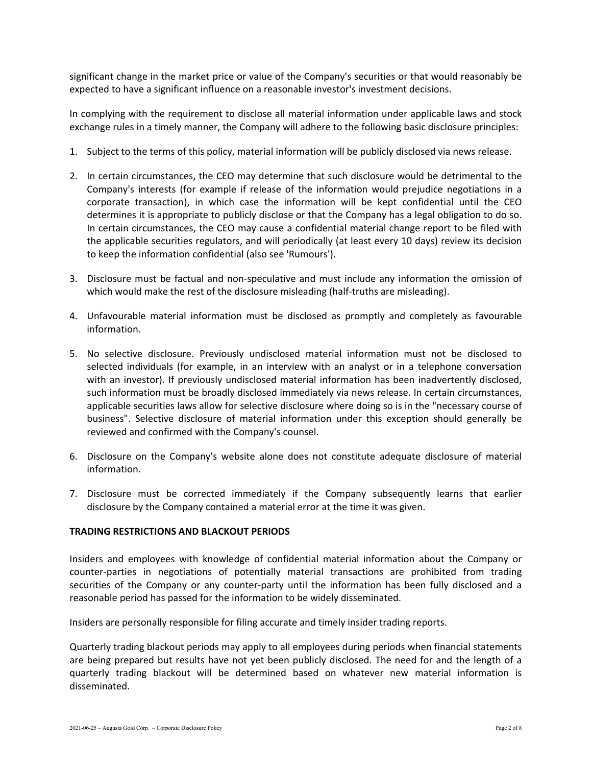significant change in the market price or value of the Company's securities or that would reasonably be expected to have a significant influence on a reasonable investor's investment decisions.

In complying with the requirement to disclose all material information under applicable laws and stock exchange rules in a timely manner, the Company will adhere to the following basic disclosure principles:

- 1. Subject to the terms of this policy, material information will be publicly disclosed via news release.
- 2. In certain circumstances, the CEO may determine that such disclosure would be detrimental to the Company's interests (for example if release of the information would prejudice negotiations in a corporate transaction), in which case the information will be kept confidential until the CEO determines it is appropriate to publicly disclose or that the Company has a legal obligation to do so. In certain circumstances, the CEO may cause a confidential material change report to be filed with the applicable securities regulators, and will periodically (at least every 10 days) review its decision to keep the information confidential (also see 'Rumours').
- 3. Disclosure must be factual and non‐speculative and must include any information the omission of which would make the rest of the disclosure misleading (half-truths are misleading).
- 4. Unfavourable material information must be disclosed as promptly and completely as favourable information.
- 5. No selective disclosure. Previously undisclosed material information must not be disclosed to selected individuals (for example, in an interview with an analyst or in a telephone conversation with an investor). If previously undisclosed material information has been inadvertently disclosed, such information must be broadly disclosed immediately via news release. In certain circumstances, applicable securities laws allow for selective disclosure where doing so is in the "necessary course of business". Selective disclosure of material information under this exception should generally be reviewed and confirmed with the Company's counsel.
- 6. Disclosure on the Company's website alone does not constitute adequate disclosure of material information.
- 7. Disclosure must be corrected immediately if the Company subsequently learns that earlier disclosure by the Company contained a material error at the time it was given.

### **TRADING RESTRICTIONS AND BLACKOUT PERIODS**

Insiders and employees with knowledge of confidential material information about the Company or counter‐parties in negotiations of potentially material transactions are prohibited from trading securities of the Company or any counter-party until the information has been fully disclosed and a reasonable period has passed for the information to be widely disseminated.

Insiders are personally responsible for filing accurate and timely insider trading reports.

Quarterly trading blackout periods may apply to all employees during periods when financial statements are being prepared but results have not yet been publicly disclosed. The need for and the length of a quarterly trading blackout will be determined based on whatever new material information is disseminated.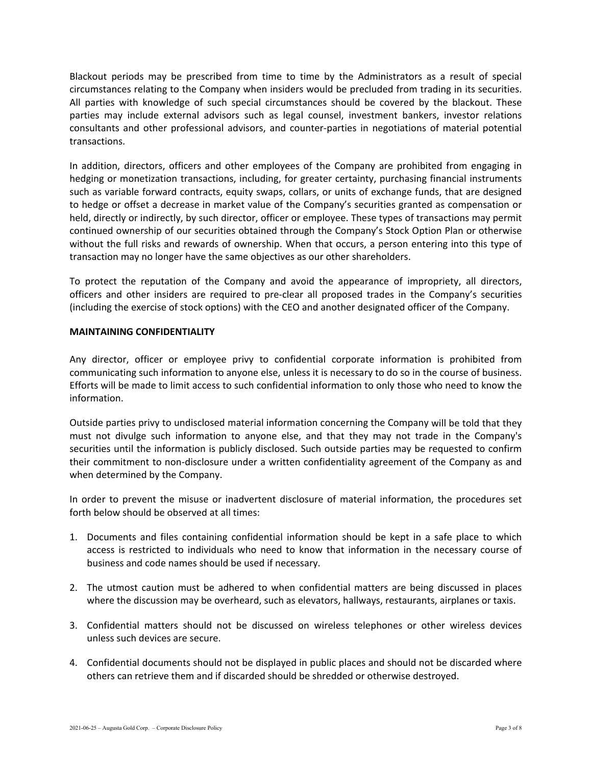Blackout periods may be prescribed from time to time by the Administrators as a result of special circumstances relating to the Company when insiders would be precluded from trading in its securities. All parties with knowledge of such special circumstances should be covered by the blackout. These parties may include external advisors such as legal counsel, investment bankers, investor relations consultants and other professional advisors, and counter‐parties in negotiations of material potential transactions.

In addition, directors, officers and other employees of the Company are prohibited from engaging in hedging or monetization transactions, including, for greater certainty, purchasing financial instruments such as variable forward contracts, equity swaps, collars, or units of exchange funds, that are designed to hedge or offset a decrease in market value of the Company's securities granted as compensation or held, directly or indirectly, by such director, officer or employee. These types of transactions may permit continued ownership of our securities obtained through the Company's Stock Option Plan or otherwise without the full risks and rewards of ownership. When that occurs, a person entering into this type of transaction may no longer have the same objectives as our other shareholders.

To protect the reputation of the Company and avoid the appearance of impropriety, all directors, officers and other insiders are required to pre‐clear all proposed trades in the Company's securities (including the exercise of stock options) with the CEO and another designated officer of the Company.

## **MAINTAINING CONFIDENTIALITY**

Any director, officer or employee privy to confidential corporate information is prohibited from communicating such information to anyone else, unless it is necessary to do so in the course of business. Efforts will be made to limit access to such confidential information to only those who need to know the information.

Outside parties privy to undisclosed material information concerning the Company will be told that they must not divulge such information to anyone else, and that they may not trade in the Company's securities until the information is publicly disclosed. Such outside parties may be requested to confirm their commitment to non‐disclosure under a written confidentiality agreement of the Company as and when determined by the Company.

In order to prevent the misuse or inadvertent disclosure of material information, the procedures set forth below should be observed at all times:

- 1. Documents and files containing confidential information should be kept in a safe place to which access is restricted to individuals who need to know that information in the necessary course of business and code names should be used if necessary.
- 2. The utmost caution must be adhered to when confidential matters are being discussed in places where the discussion may be overheard, such as elevators, hallways, restaurants, airplanes or taxis.
- 3. Confidential matters should not be discussed on wireless telephones or other wireless devices unless such devices are secure.
- 4. Confidential documents should not be displayed in public places and should not be discarded where others can retrieve them and if discarded should be shredded or otherwise destroyed.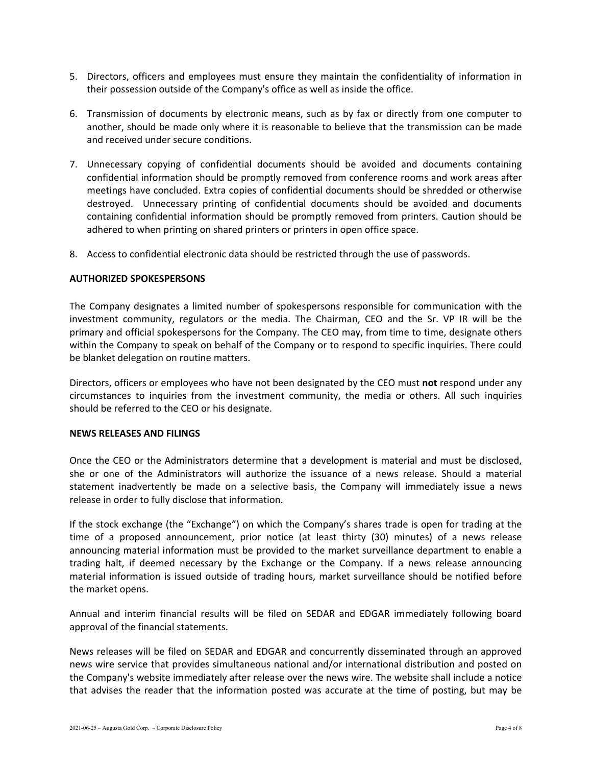- 5. Directors, officers and employees must ensure they maintain the confidentiality of information in their possession outside of the Company's office as well as inside the office.
- 6. Transmission of documents by electronic means, such as by fax or directly from one computer to another, should be made only where it is reasonable to believe that the transmission can be made and received under secure conditions.
- 7. Unnecessary copying of confidential documents should be avoided and documents containing confidential information should be promptly removed from conference rooms and work areas after meetings have concluded. Extra copies of confidential documents should be shredded or otherwise destroyed. Unnecessary printing of confidential documents should be avoided and documents containing confidential information should be promptly removed from printers. Caution should be adhered to when printing on shared printers or printers in open office space.
- 8. Access to confidential electronic data should be restricted through the use of passwords.

## **AUTHORIZED SPOKESPERSONS**

The Company designates a limited number of spokespersons responsible for communication with the investment community, regulators or the media. The Chairman, CEO and the Sr. VP IR will be the primary and official spokespersons for the Company. The CEO may, from time to time, designate others within the Company to speak on behalf of the Company or to respond to specific inquiries. There could be blanket delegation on routine matters.

Directors, officers or employees who have not been designated by the CEO must **not** respond under any circumstances to inquiries from the investment community, the media or others. All such inquiries should be referred to the CEO or his designate.

### **NEWS RELEASES AND FILINGS**

Once the CEO or the Administrators determine that a development is material and must be disclosed, she or one of the Administrators will authorize the issuance of a news release. Should a material statement inadvertently be made on a selective basis, the Company will immediately issue a news release in order to fully disclose that information.

If the stock exchange (the "Exchange") on which the Company's shares trade is open for trading at the time of a proposed announcement, prior notice (at least thirty (30) minutes) of a news release announcing material information must be provided to the market surveillance department to enable a trading halt, if deemed necessary by the Exchange or the Company. If a news release announcing material information is issued outside of trading hours, market surveillance should be notified before the market opens.

Annual and interim financial results will be filed on SEDAR and EDGAR immediately following board approval of the financial statements.

News releases will be filed on SEDAR and EDGAR and concurrently disseminated through an approved news wire service that provides simultaneous national and/or international distribution and posted on the Company's website immediately after release over the news wire. The website shall include a notice that advises the reader that the information posted was accurate at the time of posting, but may be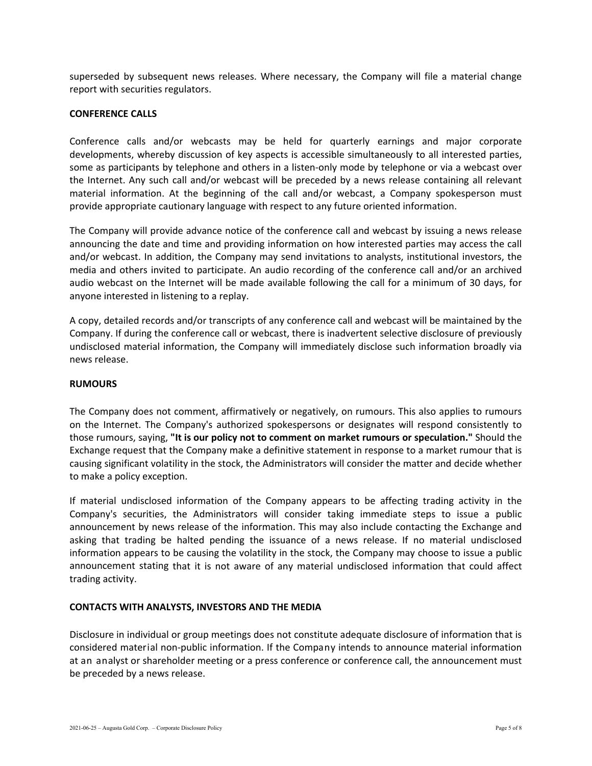superseded by subsequent news releases. Where necessary, the Company will file a material change report with securities regulators.

## **CONFERENCE CALLS**

Conference calls and/or webcasts may be held for quarterly earnings and major corporate developments, whereby discussion of key aspects is accessible simultaneously to all interested parties, some as participants by telephone and others in a listen-only mode by telephone or via a webcast over the Internet. Any such call and/or webcast will be preceded by a news release containing all relevant material information. At the beginning of the call and/or webcast, a Company spokesperson must provide appropriate cautionary language with respect to any future oriented information.

The Company will provide advance notice of the conference call and webcast by issuing a news release announcing the date and time and providing information on how interested parties may access the call and/or webcast. In addition, the Company may send invitations to analysts, institutional investors, the media and others invited to participate. An audio recording of the conference call and/or an archived audio webcast on the Internet will be made available following the call for a minimum of 30 days, for anyone interested in listening to a replay.

A copy, detailed records and/or transcripts of any conference call and webcast will be maintained by the Company. If during the conference call or webcast, there is inadvertent selective disclosure of previously undisclosed material information, the Company will immediately disclose such information broadly via news release.

### **RUMOURS**

The Company does not comment, affirmatively or negatively, on rumours. This also applies to rumours on the Internet. The Company's authorized spokespersons or designates will respond consistently to those rumours, saying, **"It is our policy not to comment on market rumours or speculation."** Should the Exchange request that the Company make a definitive statement in response to a market rumour that is causing significant volatility in the stock, the Administrators will consider the matter and decide whether to make a policy exception.

If material undisclosed information of the Company appears to be affecting trading activity in the Company's securities, the Administrators will consider taking immediate steps to issue a public announcement by news release of the information. This may also include contacting the Exchange and asking that trading be halted pending the issuance of a news release. If no material undisclosed information appears to be causing the volatility in the stock, the Company may choose to issue a public announcement stating that it is not aware of any material undisclosed information that could affect trading activity.

### **CONTACTS WITH ANALYSTS, INVESTORS AND THE MEDIA**

Disclosure in individual or group meetings does not constitute adequate disclosure of information that is considered material non‐public information. If the Company intends to announce material information at an analyst or shareholder meeting or a press conference or conference call, the announcement must be preceded by a news release.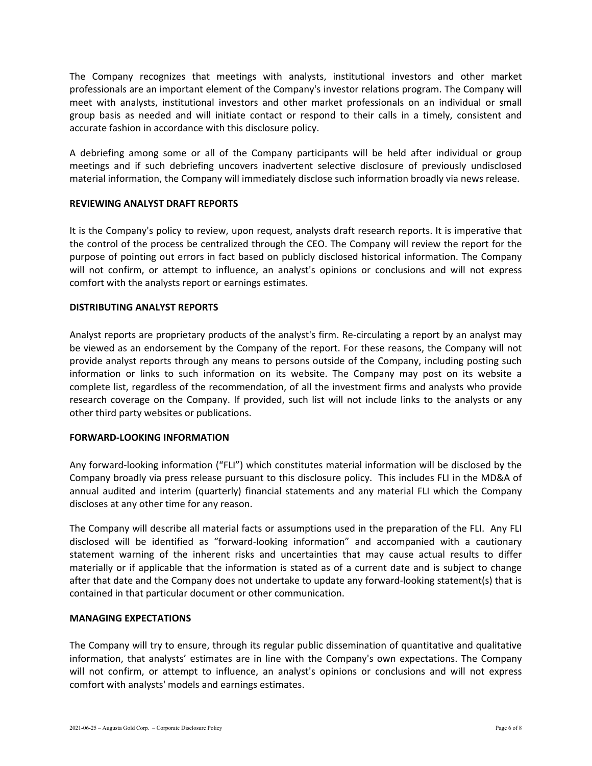The Company recognizes that meetings with analysts, institutional investors and other market professionals are an important element of the Company's investor relations program. The Company will meet with analysts, institutional investors and other market professionals on an individual or small group basis as needed and will initiate contact or respond to their calls in a timely, consistent and accurate fashion in accordance with this disclosure policy.

A debriefing among some or all of the Company participants will be held after individual or group meetings and if such debriefing uncovers inadvertent selective disclosure of previously undisclosed material information, the Company will immediately disclose such information broadly via news release.

## **REVIEWING ANALYST DRAFT REPORTS**

It is the Company's policy to review, upon request, analysts draft research reports. It is imperative that the control of the process be centralized through the CEO. The Company will review the report for the purpose of pointing out errors in fact based on publicly disclosed historical information. The Company will not confirm, or attempt to influence, an analyst's opinions or conclusions and will not express comfort with the analysts report or earnings estimates.

### **DISTRIBUTING ANALYST REPORTS**

Analyst reports are proprietary products of the analyst's firm. Re‐circulating a report by an analyst may be viewed as an endorsement by the Company of the report. For these reasons, the Company will not provide analyst reports through any means to persons outside of the Company, including posting such information or links to such information on its website. The Company may post on its website a complete list, regardless of the recommendation, of all the investment firms and analysts who provide research coverage on the Company. If provided, such list will not include links to the analysts or any other third party websites or publications.

### **FORWARD‐LOOKING INFORMATION**

Any forward‐looking information ("FLI") which constitutes material information will be disclosed by the Company broadly via press release pursuant to this disclosure policy. This includes FLI in the MD&A of annual audited and interim (quarterly) financial statements and any material FLI which the Company discloses at any other time for any reason.

The Company will describe all material facts or assumptions used in the preparation of the FLI. Any FLI disclosed will be identified as "forward‐looking information" and accompanied with a cautionary statement warning of the inherent risks and uncertainties that may cause actual results to differ materially or if applicable that the information is stated as of a current date and is subject to change after that date and the Company does not undertake to update any forward‐looking statement(s) that is contained in that particular document or other communication.

### **MANAGING EXPECTATIONS**

The Company will try to ensure, through its regular public dissemination of quantitative and qualitative information, that analysts' estimates are in line with the Company's own expectations. The Company will not confirm, or attempt to influence, an analyst's opinions or conclusions and will not express comfort with analysts' models and earnings estimates.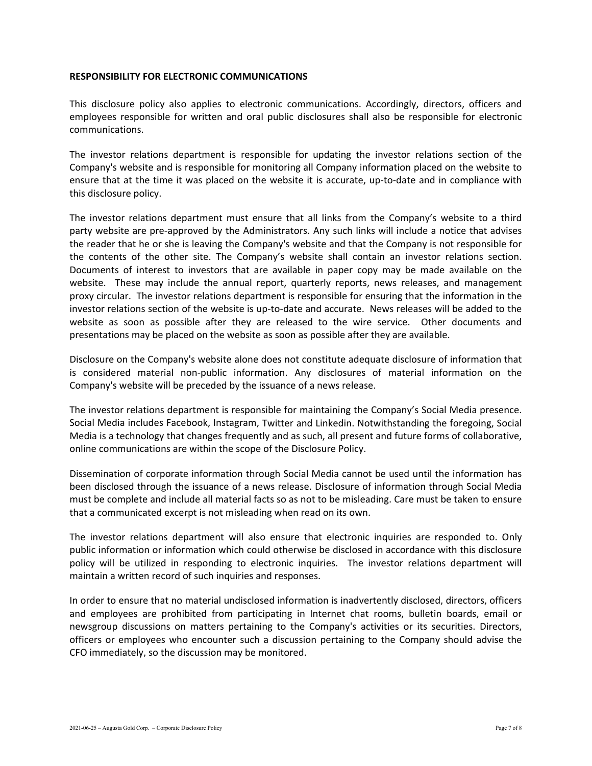### **RESPONSIBILITY FOR ELECTRONIC COMMUNICATIONS**

This disclosure policy also applies to electronic communications. Accordingly, directors, officers and employees responsible for written and oral public disclosures shall also be responsible for electronic communications.

The investor relations department is responsible for updating the investor relations section of the Company's website and is responsible for monitoring all Company information placed on the website to ensure that at the time it was placed on the website it is accurate, up-to-date and in compliance with this disclosure policy.

The investor relations department must ensure that all links from the Company's website to a third party website are pre‐approved by the Administrators. Any such links will include a notice that advises the reader that he or she is leaving the Company's website and that the Company is not responsible for the contents of the other site. The Company's website shall contain an investor relations section. Documents of interest to investors that are available in paper copy may be made available on the website. These may include the annual report, quarterly reports, news releases, and management proxy circular. The investor relations department is responsible for ensuring that the information in the investor relations section of the website is up‐to‐date and accurate. News releases will be added to the website as soon as possible after they are released to the wire service. Other documents and presentations may be placed on the website as soon as possible after they are available.

Disclosure on the Company's website alone does not constitute adequate disclosure of information that is considered material non‐public information. Any disclosures of material information on the Company's website will be preceded by the issuance of a news release.

The investor relations department is responsible for maintaining the Company's Social Media presence. Social Media includes Facebook, Instagram, Twitter and Linkedin. Notwithstanding the foregoing, Social Media is a technology that changes frequently and as such, all present and future forms of collaborative, online communications are within the scope of the Disclosure Policy.

Dissemination of corporate information through Social Media cannot be used until the information has been disclosed through the issuance of a news release. Disclosure of information through Social Media must be complete and include all material facts so as not to be misleading. Care must be taken to ensure that a communicated excerpt is not misleading when read on its own.

The investor relations department will also ensure that electronic inquiries are responded to. Only public information or information which could otherwise be disclosed in accordance with this disclosure policy will be utilized in responding to electronic inquiries. The investor relations department will maintain a written record of such inquiries and responses.

In order to ensure that no material undisclosed information is inadvertently disclosed, directors, officers and employees are prohibited from participating in Internet chat rooms, bulletin boards, email or newsgroup discussions on matters pertaining to the Company's activities or its securities. Directors, officers or employees who encounter such a discussion pertaining to the Company should advise the CFO immediately, so the discussion may be monitored.